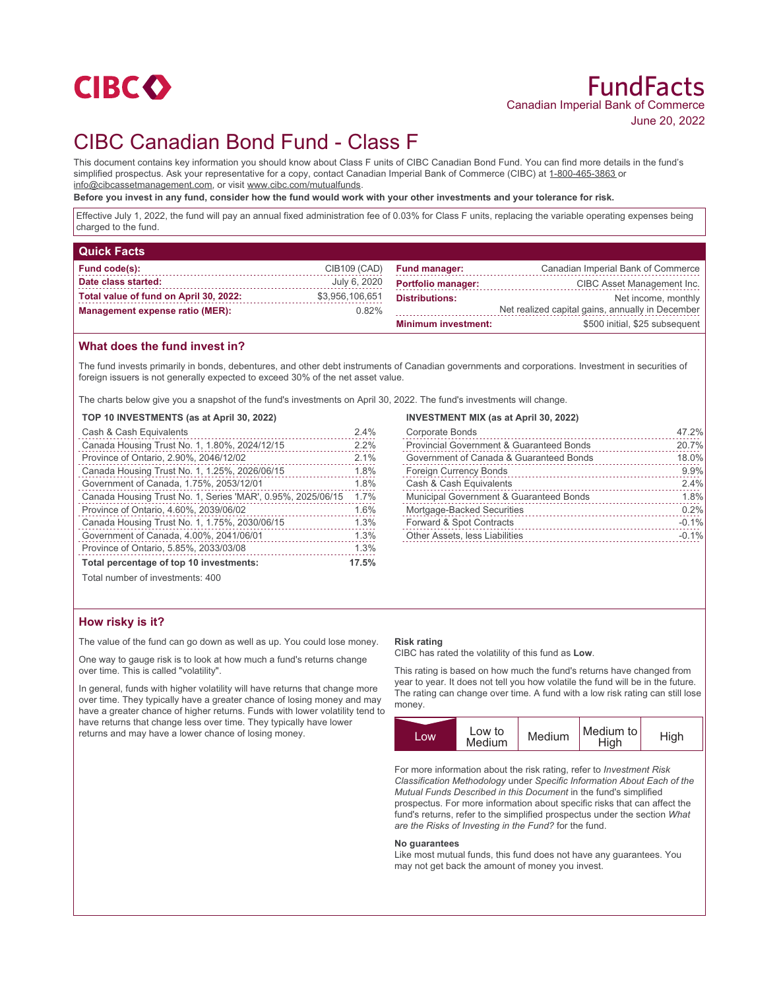

# CIBC Canadian Bond Fund - Class F

This document contains key information you should know about Class F units of CIBC Canadian Bond Fund. You can find more details in the fund's simplified prospectus. Ask your representative for a copy, contact Canadian Imperial Bank of Commerce (CIBC) at 1-800-465-3863 or info@cibcassetmanagement.com, or visit www.cibc.com/mutualfunds.

**Before you invest in any fund, consider how the fund would work with your other investments and your tolerance for risk.**

Effective July 1, 2022, the fund will pay an annual fixed administration fee of 0.03% for Class F units, replacing the variable operating expenses being charged to the fund.

| <b>Quick Facts</b>                     |                 |                            |                                                  |
|----------------------------------------|-----------------|----------------------------|--------------------------------------------------|
| Fund code(s):                          | CIB109 (CAD)    | <b>Fund manager:</b>       | Canadian Imperial Bank of Commerce               |
| Date class started:                    | July 6, 2020    | <b>Portfolio manager:</b>  | CIBC Asset Management Inc.                       |
| Total value of fund on April 30, 2022: | \$3,956,106,651 | <b>Distributions:</b>      | Net income, monthly                              |
| <b>Management expense ratio (MER):</b> | $0.82\%$        |                            | Net realized capital gains, annually in December |
|                                        |                 | <b>Minimum investment:</b> | \$500 initial, \$25 subsequent                   |

## **What does the fund invest in?**

The fund invests primarily in bonds, debentures, and other debt instruments of Canadian governments and corporations. Investment in securities of foreign issuers is not generally expected to exceed 30% of the net asset value.

The charts below give you a snapshot of the fund's investments on April 30, 2022. The fund's investments will change.

## **TOP 10 INVESTMENTS (as at April 30, 2022)**

| Cash & Cash Equivalents                                     | 2.4%  |
|-------------------------------------------------------------|-------|
| Canada Housing Trust No. 1, 1.80%, 2024/12/15               | 2.2%  |
| Province of Ontario, 2.90%, 2046/12/02                      | 2.1%  |
| Canada Housing Trust No. 1, 1.25%, 2026/06/15               | 1.8%  |
| Government of Canada, 1.75%, 2053/12/01                     | 1.8%  |
| Canada Housing Trust No. 1, Series 'MAR', 0.95%, 2025/06/15 | 1.7%  |
| Province of Ontario, 4.60%, 2039/06/02                      | 1.6%  |
| Canada Housing Trust No. 1, 1.75%, 2030/06/15               | 1.3%  |
| Government of Canada, 4.00%, 2041/06/01                     | 1.3%  |
| Province of Ontario, 5.85%, 2033/03/08                      | 1.3%  |
| Total percentage of top 10 investments:                     | 17.5% |

# **INVESTMENT MIX (as at April 30, 2022)**

| <b>Corporate Bonds</b>                   | 47.2%      |
|------------------------------------------|------------|
| Provincial Government & Guaranteed Bonds | 20.7%<br>. |
| Government of Canada & Guaranteed Bonds  | 18.0%      |
| <b>Foreign Currency Bonds</b>            | 9.9%       |
| Cash & Cash Equivalents                  | 2.4%       |
| Municipal Government & Guaranteed Bonds  | 1.8%       |
| Mortgage-Backed Securities               | 0.2%       |
| Forward & Spot Contracts                 | $-0.1%$    |
| Other Assets, less Liabilities           | $-0.1%$    |
|                                          |            |

Total number of investments: 400

## **How risky is it?**

The value of the fund can go down as well as up. You could lose money.

One way to gauge risk is to look at how much a fund's returns change over time. This is called "volatility".

In general, funds with higher volatility will have returns that change more over time. They typically have a greater chance of losing money and may have a greater chance of higher returns. Funds with lower volatility tend to have returns that change less over time. They typically have lower returns and may have a lower chance of losing money.

#### **Risk rating**

CIBC has rated the volatility of this fund as **Low**.

This rating is based on how much the fund's returns have changed from year to year. It does not tell you how volatile the fund will be in the future. The rating can change over time. A fund with a low risk rating can still lose money.

|      | Low to | Medium | Medium to |      |
|------|--------|--------|-----------|------|
| LOW. | Medium |        | High      | High |

For more information about the risk rating, refer to *Investment Risk Classification Methodology* under *Specific Information About Each of the Mutual Funds Described in this Document* in the fund's simplified prospectus. For more information about specific risks that can affect the fund's returns, refer to the simplified prospectus under the section *What are the Risks of Investing in the Fund?* for the fund.

#### **No guarantees**

Like most mutual funds, this fund does not have any guarantees. You may not get back the amount of money you invest.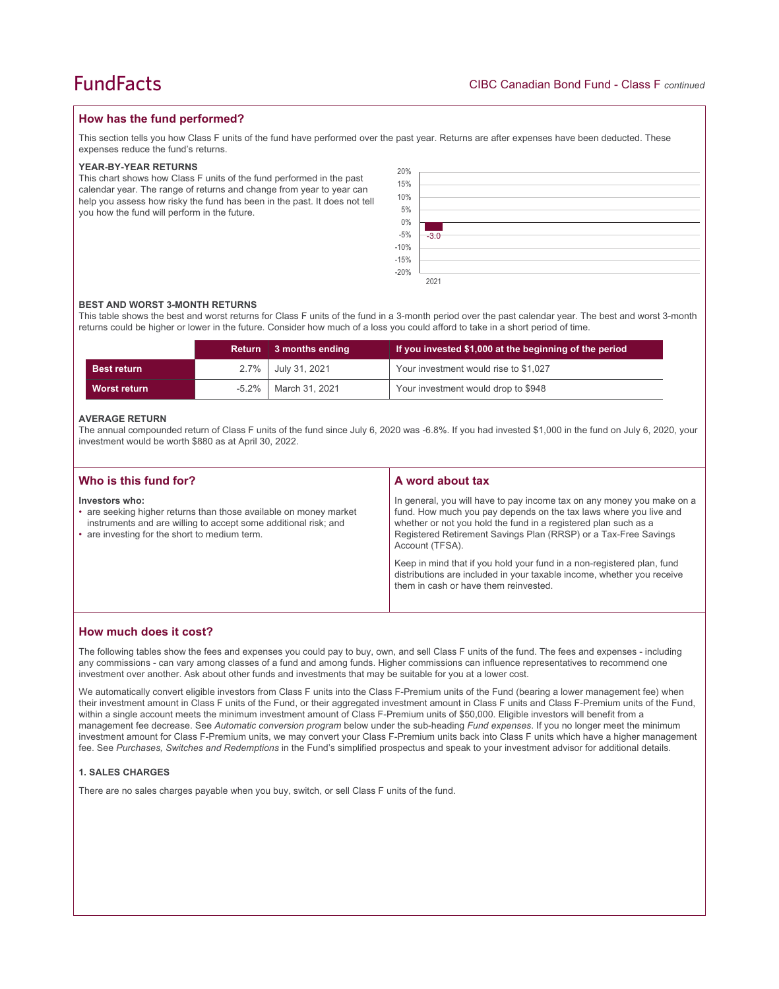## **How has the fund performed?**

This section tells you how Class F units of the fund have performed over the past year. Returns are after expenses have been deducted. These expenses reduce the fund's returns.

### **YEAR-BY-YEAR RETURNS**

This chart shows how Class F units of the fund performed in the past calendar year. The range of returns and change from year to year can help you assess how risky the fund has been in the past. It does not tell you how the fund will perform in the future.

| 20%<br>15%<br>10%<br>5%<br>$0\%$        |        |
|-----------------------------------------|--------|
| $-5\%$<br>$-10\%$<br>$-15\%$<br>$-20\%$ | $-3.0$ |
|                                         | 2021   |

#### **BEST AND WORST 3-MONTH RETURNS**

This table shows the best and worst returns for Class F units of the fund in a 3-month period over the past calendar year. The best and worst 3-month returns could be higher or lower in the future. Consider how much of a loss you could afford to take in a short period of time.

|                    |          | Return 3 months ending | If you invested \$1,000 at the beginning of the period |
|--------------------|----------|------------------------|--------------------------------------------------------|
| <b>Best return</b> |          | 2.7%   July 31, 2021   | Your investment would rise to \$1,027                  |
| Worst return       | $-5.2\%$ | March 31, 2021         | Your investment would drop to \$948                    |

#### **AVERAGE RETURN**

The annual compounded return of Class F units of the fund since July 6, 2020 was -6.8%. If you had invested \$1,000 in the fund on July 6, 2020, your investment would be worth \$880 as at April 30, 2022.

| Who is this fund for?                                                                                                                                                                                   | A word about tax                                                                                                                                                                                                                                                                                                                                                                                                                                                                                  |
|---------------------------------------------------------------------------------------------------------------------------------------------------------------------------------------------------------|---------------------------------------------------------------------------------------------------------------------------------------------------------------------------------------------------------------------------------------------------------------------------------------------------------------------------------------------------------------------------------------------------------------------------------------------------------------------------------------------------|
| Investors who:<br>• are seeking higher returns than those available on money market<br>instruments and are willing to accept some additional risk; and<br>• are investing for the short to medium term. | In general, you will have to pay income tax on any money you make on a<br>fund. How much you pay depends on the tax laws where you live and<br>whether or not you hold the fund in a registered plan such as a<br>Registered Retirement Savings Plan (RRSP) or a Tax-Free Savings<br>Account (TFSA).<br>Keep in mind that if you hold your fund in a non-registered plan, fund<br>distributions are included in your taxable income, whether you receive<br>them in cash or have them reinvested. |
|                                                                                                                                                                                                         |                                                                                                                                                                                                                                                                                                                                                                                                                                                                                                   |

## **How much does it cost?**

The following tables show the fees and expenses you could pay to buy, own, and sell Class F units of the fund. The fees and expenses - including any commissions - can vary among classes of a fund and among funds. Higher commissions can influence representatives to recommend one investment over another. Ask about other funds and investments that may be suitable for you at a lower cost.

We automatically convert eligible investors from Class F units into the Class F-Premium units of the Fund (bearing a lower management fee) when their investment amount in Class F units of the Fund, or their aggregated investment amount in Class F units and Class F-Premium units of the Fund, within a single account meets the minimum investment amount of Class F-Premium units of \$50,000. Eligible investors will benefit from a management fee decrease. See *Automatic conversion program* below under the sub-heading *Fund expenses*. If you no longer meet the minimum investment amount for Class F-Premium units, we may convert your Class F-Premium units back into Class F units which have a higher management fee. See *Purchases, Switches and Redemptions* in the Fund's simplified prospectus and speak to your investment advisor for additional details.

### **1. SALES CHARGES**

There are no sales charges payable when you buy, switch, or sell Class F units of the fund.